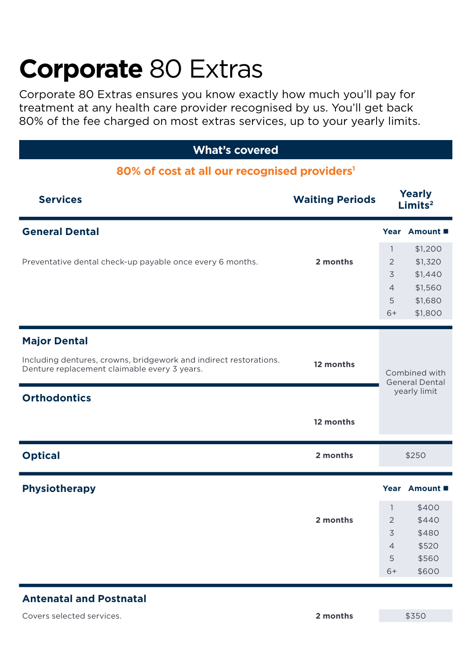# **Corporate** 80 Extras

Corporate 80 Extras ensures you know exactly how much you'll pay for treatment at any health care provider recognised by us. You'll get back 80% of the fee charged on most extras services, up to your yearly limits.

## **What's covered**

## **80% of cost at all our recognised providers1**

| <b>Services</b>                                                                                                   | <b>Yearly</b><br><b>Waiting Periods</b><br>Limits <sup>2</sup> |                                        |               |
|-------------------------------------------------------------------------------------------------------------------|----------------------------------------------------------------|----------------------------------------|---------------|
| <b>General Dental</b>                                                                                             |                                                                |                                        | Year Amount ■ |
|                                                                                                                   |                                                                | $\mathbf{1}$                           | \$1,200       |
| Preventative dental check-up payable once every 6 months.                                                         | 2 months                                                       | 2                                      | \$1,320       |
|                                                                                                                   |                                                                | 3                                      | \$1,440       |
|                                                                                                                   |                                                                | $\overline{4}$                         | \$1,560       |
|                                                                                                                   |                                                                | 5                                      | \$1,680       |
|                                                                                                                   |                                                                | $6+$                                   | \$1,800       |
| <b>Major Dental</b>                                                                                               |                                                                |                                        |               |
| Including dentures, crowns, bridgework and indirect restorations.<br>Denture replacement claimable every 3 years. | 12 months                                                      | Combined with<br><b>General Dental</b> |               |
| <b>Orthodontics</b>                                                                                               |                                                                |                                        | yearly limit  |
|                                                                                                                   | 12 months                                                      |                                        |               |
| <b>Optical</b>                                                                                                    | 2 months                                                       | \$250                                  |               |
| <b>Physiotherapy</b>                                                                                              |                                                                |                                        | Year Amount ■ |
|                                                                                                                   |                                                                | $\mathbf{1}$                           | \$400         |
|                                                                                                                   | 2 months                                                       | 2                                      | \$440         |
|                                                                                                                   |                                                                | 3                                      | \$480         |
|                                                                                                                   |                                                                | $\overline{4}$                         | \$520         |
|                                                                                                                   |                                                                | 5                                      | \$560         |
|                                                                                                                   |                                                                | $6+$                                   | \$600         |
|                                                                                                                   |                                                                |                                        |               |

## **Antenatal and Postnatal**

Covers selected services. **2 months** \$350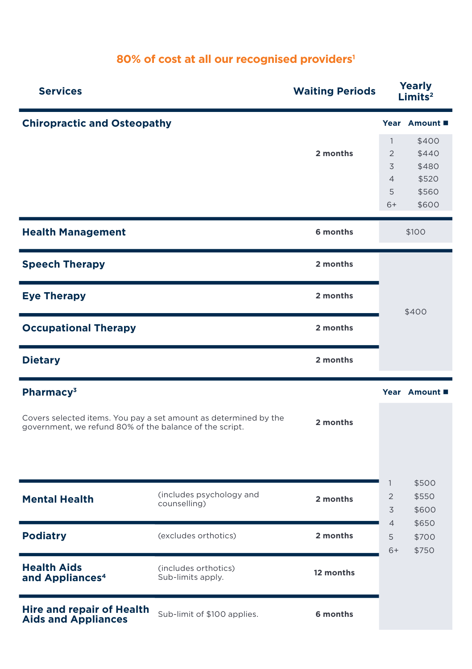## **80% of cost at all our recognised providers1**

| <b>Services</b>                                                | <b>Waiting Periods</b>                                           |           | <b>Yearly</b><br>Limits <sup>2</sup> |                         |
|----------------------------------------------------------------|------------------------------------------------------------------|-----------|--------------------------------------|-------------------------|
| <b>Chiropractic and Osteopathy</b>                             |                                                                  |           |                                      | Year Amount ■           |
|                                                                |                                                                  |           | $\mathbf{1}$                         | \$400                   |
|                                                                |                                                                  | 2 months  | $\overline{2}$                       | \$440                   |
|                                                                |                                                                  |           | 3                                    | \$480                   |
|                                                                |                                                                  |           | $\overline{4}$                       | \$520                   |
|                                                                |                                                                  |           | 5                                    | \$560                   |
|                                                                |                                                                  |           | $6+$                                 | \$600                   |
| <b>Health Management</b>                                       |                                                                  | 6 months  |                                      | \$100                   |
| <b>Speech Therapy</b>                                          |                                                                  | 2 months  |                                      |                         |
| <b>Eye Therapy</b>                                             |                                                                  | 2 months  |                                      | \$400                   |
| <b>Occupational Therapy</b>                                    |                                                                  | 2 months  |                                      |                         |
| <b>Dietary</b>                                                 |                                                                  | 2 months  |                                      |                         |
| Pharmacy <sup>3</sup>                                          |                                                                  |           |                                      | Year Amount ■           |
| government, we refund 80% of the balance of the script.        | Covers selected items. You pay a set amount as determined by the | 2 months  |                                      |                         |
|                                                                |                                                                  |           | $\mathbf{1}$                         | \$500                   |
| <b>Mental Health</b>                                           | (includes psychology and<br>counselling)                         | 2 months  | $\overline{c}$<br>3                  | \$550<br>\$600          |
| <b>Podiatry</b>                                                | (excludes orthotics)                                             | 2 months  | $\overline{4}$<br>5<br>$6+$          | \$650<br>\$700<br>\$750 |
| <b>Health Aids</b><br>and Appliances <sup>4</sup>              | (includes orthotics)<br>Sub-limits apply.                        | 12 months |                                      |                         |
| <b>Hire and repair of Health</b><br><b>Aids and Appliances</b> | Sub-limit of \$100 applies.                                      | 6 months  |                                      |                         |